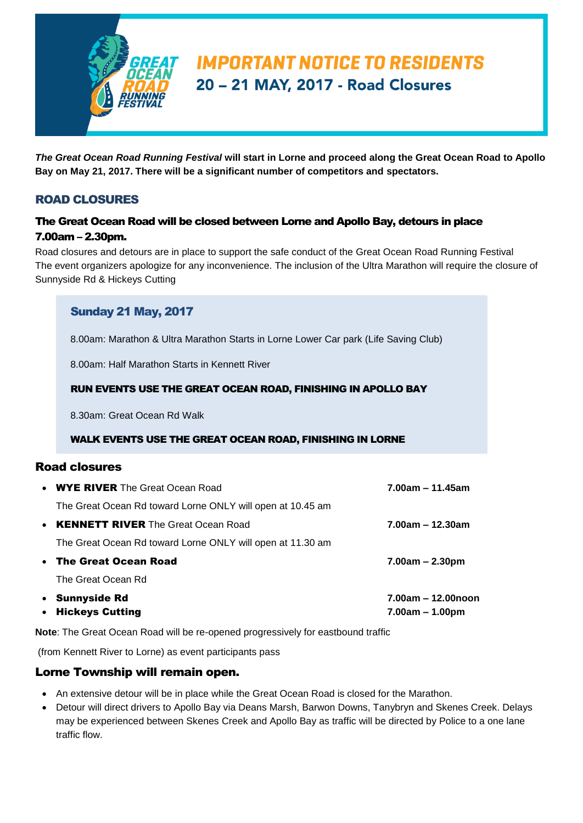

# **IMPORTANT NOTICE TO RESIDENTS** 20 - 21 MAY, 2017 - Road Closures

*The Great Ocean Road Running Festival* **will start in Lorne and proceed along the Great Ocean Road to Apollo Bay on May 21, 2017. There will be a significant number of competitors and spectators.**

# ROAD CLOSURES

## The Great Ocean Road will be closed between Lorne and Apollo Bay, detours in place 7.00am – 2.30pm.

Road closures and detours are in place to support the safe conduct of the Great Ocean Road Running Festival The event organizers apologize for any inconvenience. The inclusion of the Ultra Marathon will require the closure of Sunnyside Rd & Hickeys Cutting

## Sunday 21 May, 2017

8.00am: Marathon & Ultra Marathon Starts in Lorne Lower Car park (Life Saving Club)

8.00am: Half Marathon Starts in Kennett River

#### RUN EVENTS USE THE GREAT OCEAN ROAD, FINISHING IN APOLLO BAY

8.30am: Great Ocean Rd Walk

#### WALK EVENTS USE THE GREAT OCEAN ROAD, FINISHING IN LORNE

## Road closures

| • WYE RIVER The Great Ocean Road                           | $7.00$ am – 11.45am                     |
|------------------------------------------------------------|-----------------------------------------|
| The Great Ocean Rd toward Lorne ONLY will open at 10.45 am |                                         |
| • KENNETT RIVER The Great Ocean Road                       | $7.00$ am – 12.30am                     |
| The Great Ocean Rd toward Lorne ONLY will open at 11.30 am |                                         |
| • The Great Ocean Road                                     | $7.00am - 2.30pm$                       |
| The Great Ocean Rd                                         |                                         |
| • Sunnyside Rd<br>• Hickeys Cutting                        | 7.00am - 12.00noon<br>$7.00am - 1.00pm$ |

**Note**: The Great Ocean Road will be re-opened progressively for eastbound traffic

(from Kennett River to Lorne) as event participants pass

#### Lorne Township will remain open.

- An extensive detour will be in place while the Great Ocean Road is closed for the Marathon.
- Detour will direct drivers to Apollo Bay via Deans Marsh, Barwon Downs, Tanybryn and Skenes Creek. Delays may be experienced between Skenes Creek and Apollo Bay as traffic will be directed by Police to a one lane traffic flow.